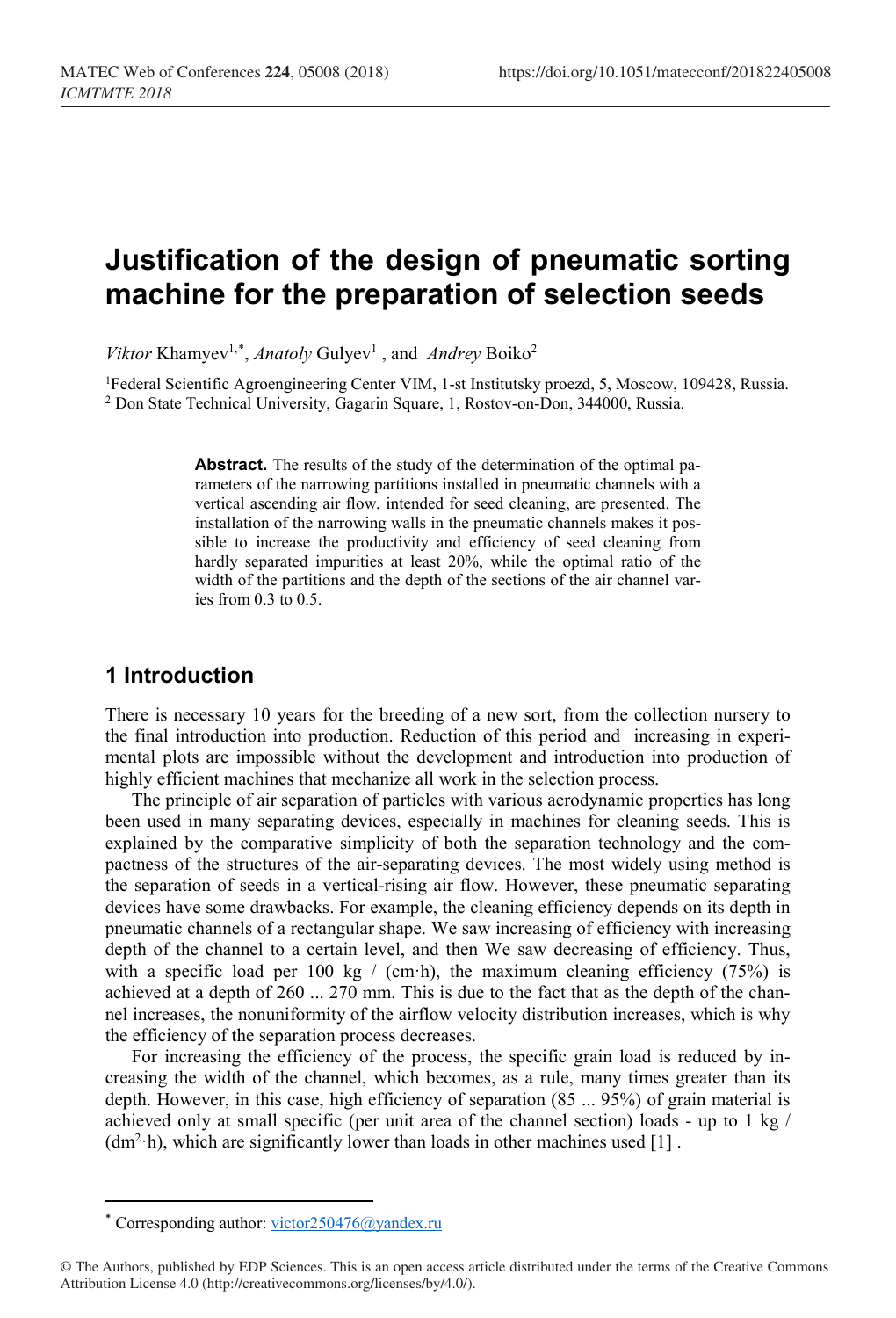# **Justification of the design of pneumatic sorting machine for the preparation of selection seeds**

Viktor Khamyev<sup>1,[\\*](#page-0-0)</sup>, *Anatoly* Gulyev<sup>1</sup>, and *Andrey* Boiko<sup>2</sup>

<sup>1</sup>Federal Scientific Agroengineering Center VIM, 1-st Institutsky proezd, 5, Moscow, 109428, Russia. <sup>2</sup> Don State Technical University, Gagarin Square, 1, Rostov-on-Don, 344000, Russia.

> **Abstract.** The results of the study of the determination of the optimal parameters of the narrowing partitions installed in pneumatic channels with a vertical ascending air flow, intended for seed cleaning, are presented. The installation of the narrowing walls in the pneumatic channels makes it possible to increase the productivity and efficiency of seed cleaning from hardly separated impurities at least 20%, while the optimal ratio of the width of the partitions and the depth of the sections of the air channel varies from 0.3 to 0.5.

#### **1 Introduction**

There is necessary 10 years for the breeding of a new sort, from the collection nursery to the final introduction into production. Reduction of this period and increasing in experimental plots are impossible without the development and introduction into production of highly efficient machines that mechanize all work in the selection process.

The principle of air separation of particles with various aerodynamic properties has long been used in many separating devices, especially in machines for cleaning seeds. This is explained by the comparative simplicity of both the separation technology and the compactness of the structures of the air-separating devices. The most widely using method is the separation of seeds in a vertical-rising air flow. However, these pneumatic separating devices have some drawbacks. For example, the cleaning efficiency depends on its depth in pneumatic channels of a rectangular shape. We saw increasing of efficiency with increasing depth of the channel to a certain level, and then We saw decreasing of efficiency. Thus, with a specific load per 100 kg / (cm·h), the maximum cleaning efficiency  $(75%)$  is achieved at a depth of 260 ... 270 mm. This is due to the fact that as the depth of the channel increases, the nonuniformity of the airflow velocity distribution increases, which is why the efficiency of the separation process decreases.

For increasing the efficiency of the process, the specific grain load is reduced by increasing the width of the channel, which becomes, as a rule, many times greater than its depth. However, in this case, high efficiency of separation (85 ... 95%) of grain material is achieved only at small specific (per unit area of the channel section) loads - up to 1 kg  $/$  $(dm<sup>2</sup>·h)$ , which are significantly lower than loads in other machines used [1].

 $\overline{\phantom{a}}$ 

<sup>\*</sup> Corresponding author: victor250476@yandex.ru

<span id="page-0-0"></span><sup>©</sup> The Authors, published by EDP Sciences. This is an open access article distributed under the terms of the Creative Commons Attribution License 4.0 (http://creativecommons.org/licenses/by/4.0/).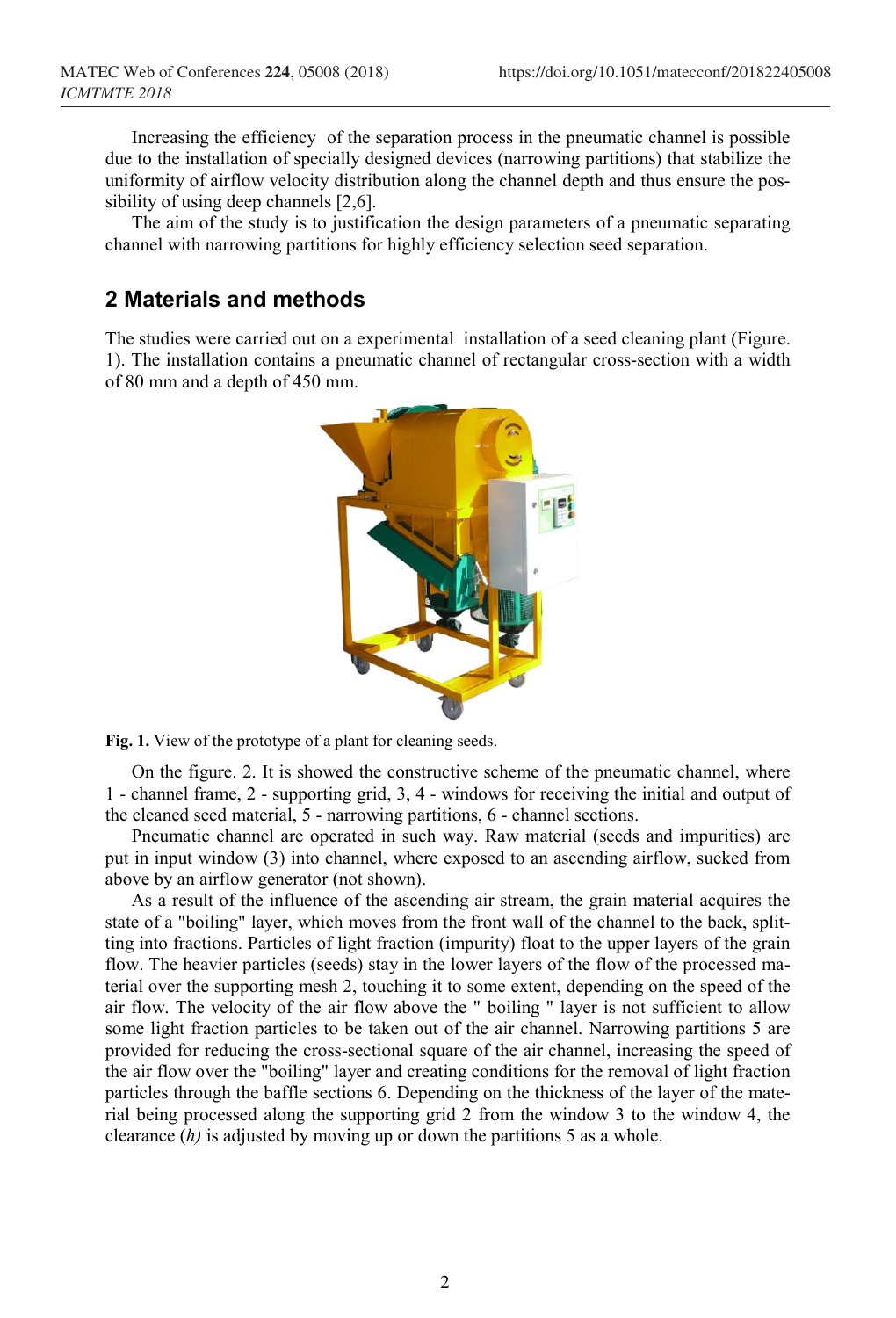Increasing the efficiency of the separation process in the pneumatic channel is possible due to the installation of specially designed devices (narrowing partitions) that stabilize the uniformity of airflow velocity distribution along the channel depth and thus ensure the possibility of using deep channels [2,6].

The aim of the study is to justification the design parameters of a pneumatic separating channel with narrowing partitions for highly efficiency selection seed separation.

### **2 Materials and methods**

The studies were carried out on a experimental installation of a seed cleaning plant (Figure. 1). The installation contains a pneumatic channel of rectangular cross-section with a width of 80 mm and a depth of 450 mm.



**Fig. 1.** View of the prototype of a plant for cleaning seeds.

On the figure. 2. It is showed the constructive scheme of the pneumatic channel, where 1 - channel frame, 2 - supporting grid, 3, 4 - windows for receiving the initial and output of the cleaned seed material, 5 - narrowing partitions, 6 - channel sections.

Pneumatic channel are operated in such way. Raw material (seeds and impurities) are put in input window (3) into channel, where exposed to an ascending airflow, sucked from above by an airflow generator (not shown).

As a result of the influence of the ascending air stream, the grain material acquires the state of a "boiling" layer, which moves from the front wall of the channel to the back, splitting into fractions. Particles of light fraction (impurity) float to the upper layers of the grain flow. The heavier particles (seeds) stay in the lower layers of the flow of the processed material over the supporting mesh 2, touching it to some extent, depending on the speed of the air flow. The velocity of the air flow above the " boiling " layer is not sufficient to allow some light fraction particles to be taken out of the air channel. Narrowing partitions 5 are provided for reducing the cross-sectional square of the air channel, increasing the speed of the air flow over the "boiling" layer and creating conditions for the removal of light fraction particles through the baffle sections 6. Depending on the thickness of the layer of the material being processed along the supporting grid 2 from the window 3 to the window 4, the clearance (*h)* is adjusted by moving up or down the partitions 5 as a whole.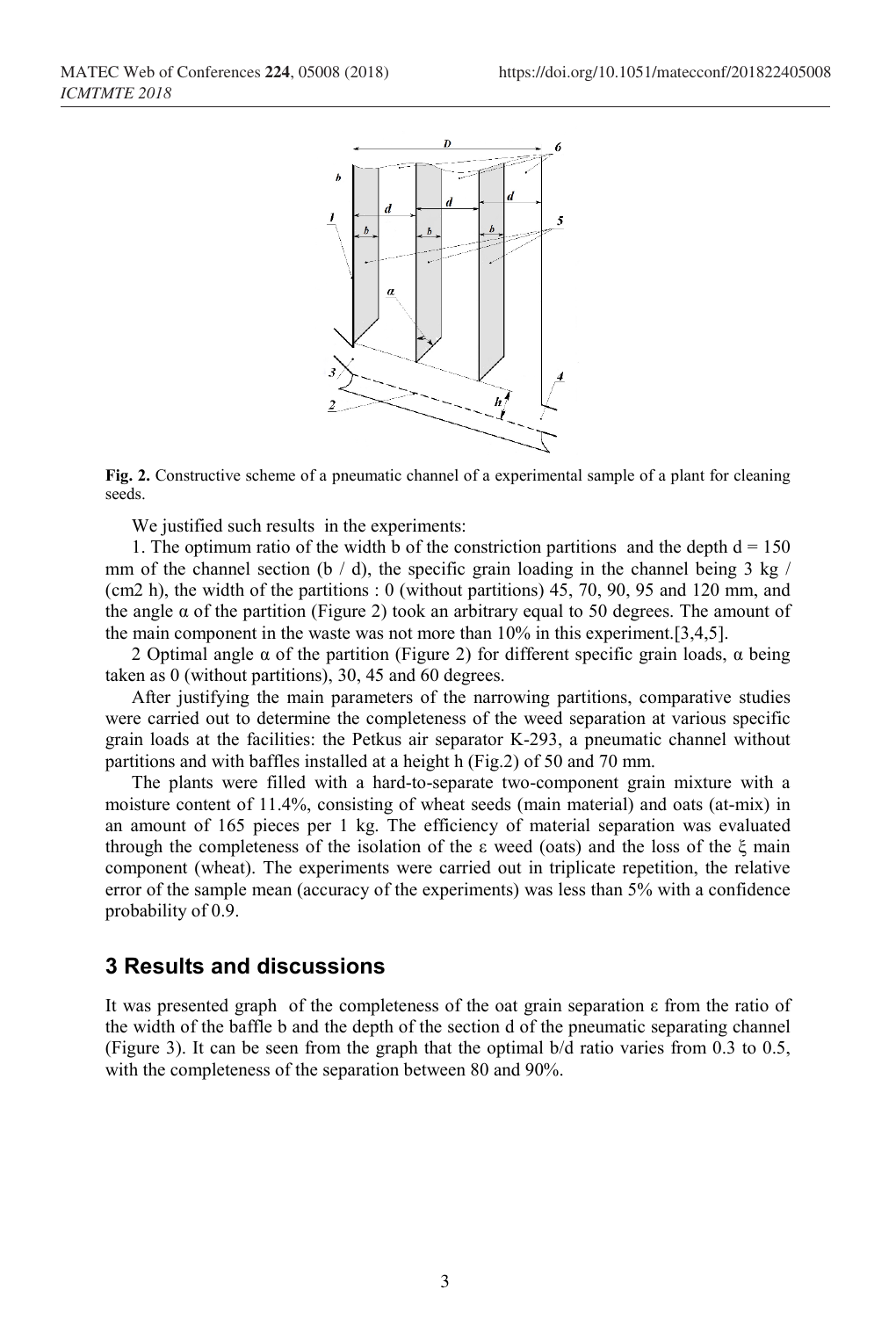

**Fig. 2.** Constructive scheme of a pneumatic channel of a experimental sample of a plant for cleaning seeds.

We justified such results in the experiments:

1. The optimum ratio of the width b of the constriction partitions and the depth  $d = 150$ mm of the channel section (b  $/$  d), the specific grain loading in the channel being 3 kg  $/$ (cm2 h), the width of the partitions : 0 (without partitions) 45, 70, 90, 95 and 120 mm, and the angle  $\alpha$  of the partition (Figure 2) took an arbitrary equal to 50 degrees. The amount of the main component in the waste was not more than 10% in this experiment.[3,4,5].

2 Optimal angle  $\alpha$  of the partition (Figure 2) for different specific grain loads,  $\alpha$  being taken as 0 (without partitions), 30, 45 and 60 degrees.

After justifying the main parameters of the narrowing partitions, comparative studies were carried out to determine the completeness of the weed separation at various specific grain loads at the facilities: the Petkus air separator K-293, a pneumatic channel without partitions and with baffles installed at a height h (Fig.2) of 50 and 70 mm.

The plants were filled with a hard-to-separate two-component grain mixture with a moisture content of 11.4%, consisting of wheat seeds (main material) and oats (at-mix) in an amount of 165 pieces per 1 kg. The efficiency of material separation was evaluated through the completeness of the isolation of the ε weed (oats) and the loss of the ξ main component (wheat). The experiments were carried out in triplicate repetition, the relative error of the sample mean (accuracy of the experiments) was less than 5% with a confidence probability of 0.9.

#### **3 Results and discussions**

It was presented graph of the completeness of the oat grain separation ε from the ratio of the width of the baffle b and the depth of the section d of the pneumatic separating channel (Figure 3). It can be seen from the graph that the optimal b/d ratio varies from 0.3 to 0.5, with the completeness of the separation between 80 and 90%.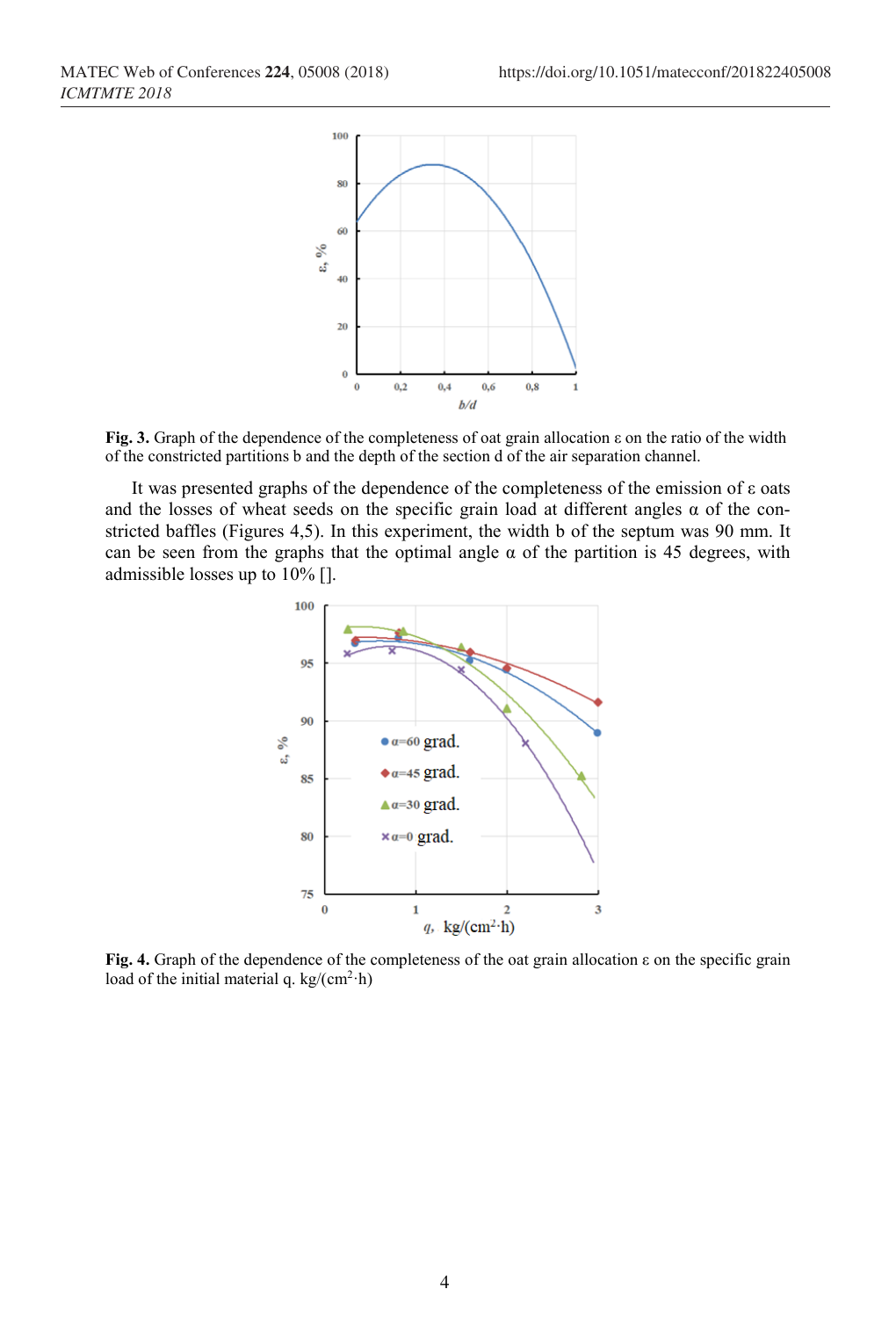

**Fig. 3.** Graph of the dependence of the completeness of oat grain allocation ε on the ratio of the width of the constricted partitions b and the depth of the section d of the air separation channel.

It was presented graphs of the dependence of the completeness of the emission of ε oats and the losses of wheat seeds on the specific grain load at different angles  $\alpha$  of the constricted baffles (Figures 4,5). In this experiment, the width b of the septum was 90 mm. It can be seen from the graphs that the optimal angle  $\alpha$  of the partition is 45 degrees, with admissible losses up to 10% [].



**Fig. 4.** Graph of the dependence of the completeness of the oat grain allocation ε on the specific grain load of the initial material q. kg/( $cm<sup>2</sup>·h$ )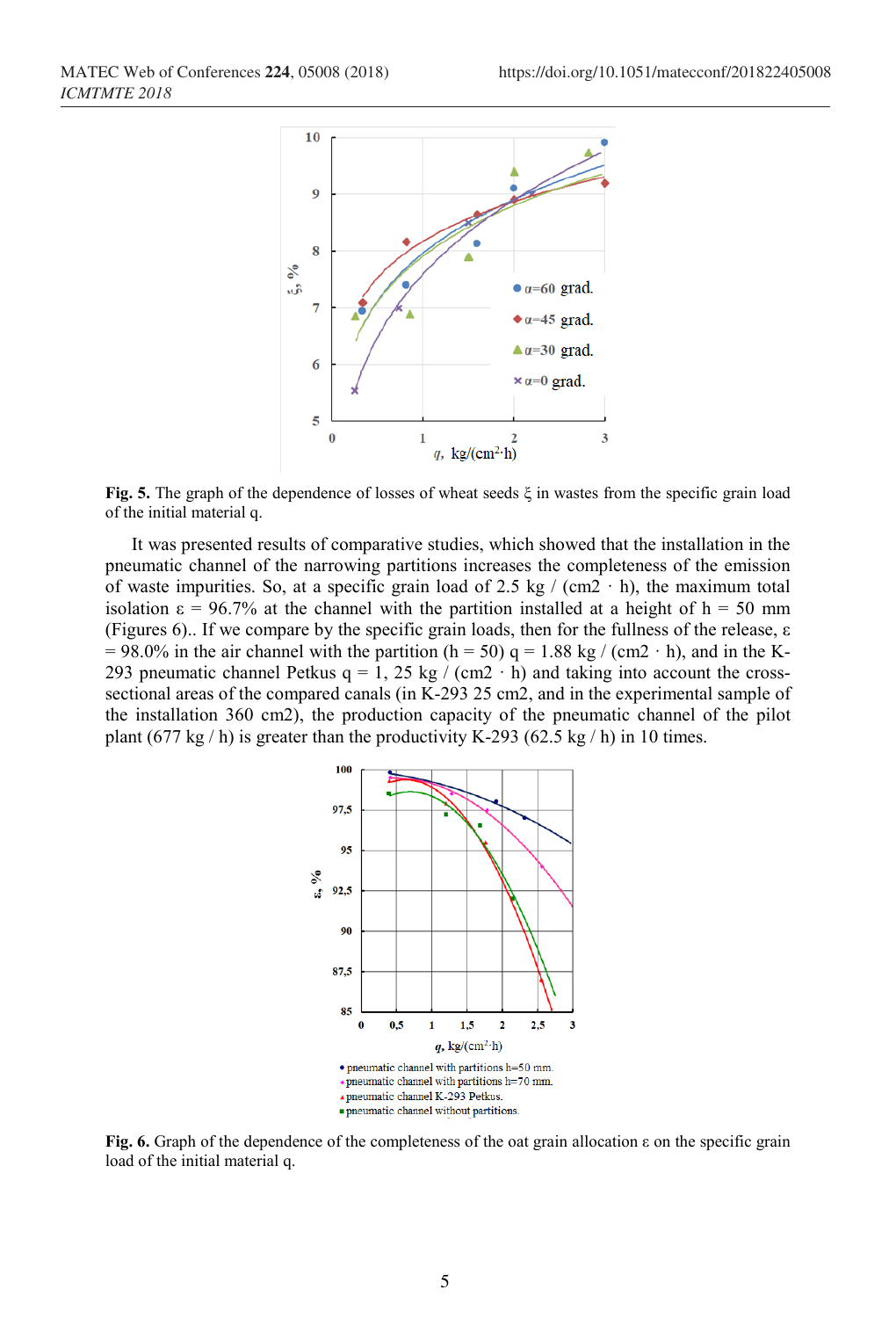

**Fig. 5.** The graph of the dependence of losses of wheat seeds ξ in wastes from the specific grain load of the initial material q.

It was presented results of comparative studies, which showed that the installation in the pneumatic channel of the narrowing partitions increases the completeness of the emission of waste impurities. So, at a specific grain load of 2.5 kg / (cm2  $\cdot$  h), the maximum total isolation  $\varepsilon = 96.7\%$  at the channel with the partition installed at a height of h = 50 mm (Figures 6).. If we compare by the specific grain loads, then for the fullness of the release, ε  $= 98.0\%$  in the air channel with the partition (h = 50) q = 1.88 kg / (cm2 · h), and in the K-293 pneumatic channel Petkus  $q = 1$ , 25 kg / (cm2 · h) and taking into account the crosssectional areas of the compared canals (in K-293 25 cm2, and in the experimental sample of the installation 360 cm2), the production capacity of the pneumatic channel of the pilot plant  $(677 \text{ kg}/\text{h})$  is greater than the productivity K-293  $(62.5 \text{ kg}/\text{h})$  in 10 times.



**Fig. 6.** Graph of the dependence of the completeness of the oat grain allocation ε on the specific grain load of the initial material q.